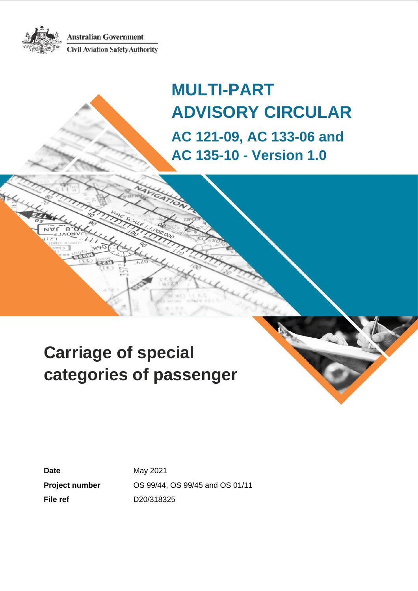**Australian Government Civil Aviation Safety Authority** 



# **Carriage of special categories of passenger**

**Date May 2021 File ref** D20/318325

**Project number** OS 99/44, OS 99/45 and OS 01/11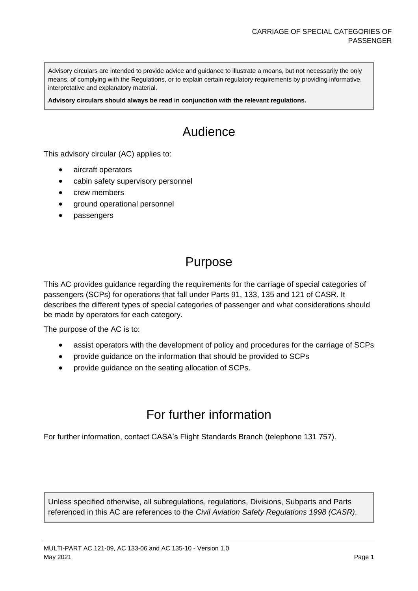Advisory circulars are intended to provide advice and guidance to illustrate a means, but not necessarily the only means, of complying with the Regulations, or to explain certain regulatory requirements by providing informative, interpretative and explanatory material.

**Advisory circulars should always be read in conjunction with the relevant regulations.**

## Audience

This advisory circular (AC) applies to:

- aircraft operators
- cabin safety supervisory personnel
- crew members
- ground operational personnel
- passengers

### Purpose

This AC provides guidance regarding the requirements for the carriage of special categories of passengers (SCPs) for operations that fall under Parts 91, 133, 135 and 121 of CASR. It describes the different types of special categories of passenger and what considerations should be made by operators for each category.

The purpose of the AC is to:

- assist operators with the development of policy and procedures for the carriage of SCPs
- provide guidance on the information that should be provided to SCPs
- provide guidance on the seating allocation of SCPs.

### For further information

For further information, contact CASA's Flight Standards Branch (telephone 131 757).

Unless specified otherwise, all subregulations, regulations, Divisions, Subparts and Parts referenced in this AC are references to the *Civil Aviation Safety Regulations 1998 (CASR)*.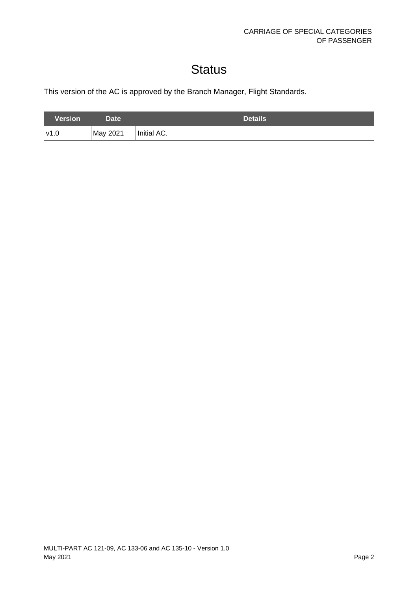## **Status**

This version of the AC is approved by the Branch Manager, Flight Standards.

| <b>Version</b> | Date'    | <b>Details</b> |
|----------------|----------|----------------|
| v1.0           | May 2021 | Initial AC.    |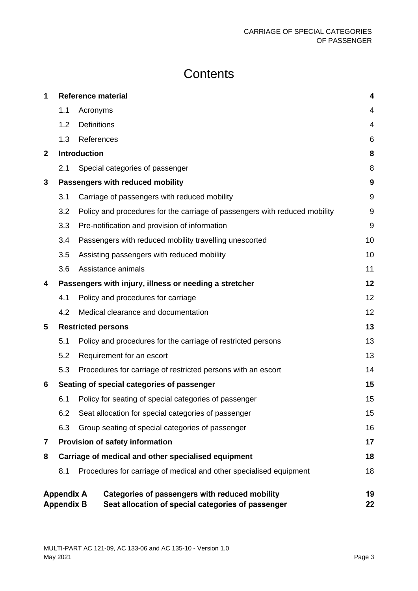## **Contents**

| 1            |                                        |                     | <b>Reference material</b>                                                                            | 4              |
|--------------|----------------------------------------|---------------------|------------------------------------------------------------------------------------------------------|----------------|
|              | 1.1                                    | Acronyms            |                                                                                                      | 4              |
|              | 1.2                                    | <b>Definitions</b>  |                                                                                                      | $\overline{4}$ |
|              | 1.3                                    | References          |                                                                                                      | 6              |
| $\mathbf{2}$ |                                        | <b>Introduction</b> |                                                                                                      | 8              |
|              | 2.1                                    |                     | Special categories of passenger                                                                      | 8              |
| 3            |                                        |                     | Passengers with reduced mobility                                                                     | 9              |
|              | 3.1                                    |                     | Carriage of passengers with reduced mobility                                                         | 9              |
|              | 3.2                                    |                     | Policy and procedures for the carriage of passengers with reduced mobility                           | 9              |
|              | 3.3                                    |                     | Pre-notification and provision of information                                                        | 9              |
|              | 3.4                                    |                     | Passengers with reduced mobility travelling unescorted                                               | 10             |
|              | 3.5                                    |                     | Assisting passengers with reduced mobility                                                           | 10             |
|              | 3.6                                    |                     | Assistance animals                                                                                   | 11             |
| 4            |                                        |                     | Passengers with injury, illness or needing a stretcher                                               | 12             |
|              | 4.1                                    |                     | Policy and procedures for carriage                                                                   | 12             |
|              | 4.2                                    |                     | Medical clearance and documentation                                                                  | 12             |
| 5            |                                        |                     | <b>Restricted persons</b>                                                                            | 13             |
|              | 5.1                                    |                     | Policy and procedures for the carriage of restricted persons                                         | 13             |
|              | 5.2                                    |                     | Requirement for an escort                                                                            | 13             |
|              | 5.3                                    |                     | Procedures for carriage of restricted persons with an escort                                         | 14             |
| 6            |                                        |                     | Seating of special categories of passenger                                                           | 15             |
|              | 6.1                                    |                     | Policy for seating of special categories of passenger                                                | 15             |
|              | 6.2                                    |                     | Seat allocation for special categories of passenger                                                  | 15             |
|              | 6.3                                    |                     | Group seating of special categories of passenger                                                     | 16             |
| 7            |                                        |                     | Provision of safety information                                                                      | 17             |
| 8            |                                        |                     | Carriage of medical and other specialised equipment                                                  | 18             |
|              | 8.1                                    |                     | Procedures for carriage of medical and other specialised equipment                                   | 18             |
|              | <b>Appendix A</b><br><b>Appendix B</b> |                     | Categories of passengers with reduced mobility<br>Seat allocation of special categories of passenger | 19<br>22       |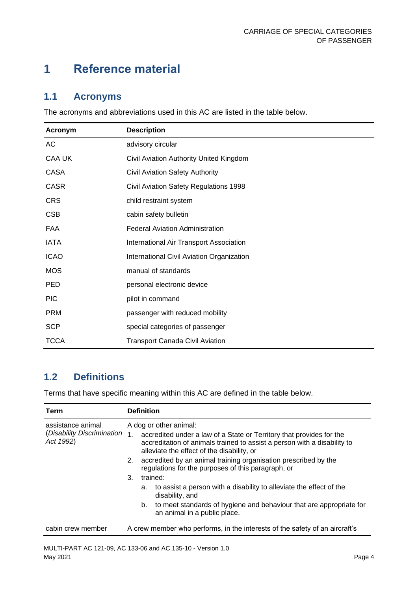## <span id="page-4-0"></span>**1 Reference material**

#### <span id="page-4-1"></span>**1.1 Acronyms**

The acronyms and abbreviations used in this AC are listed in the table below.

| <b>Acronym</b> | <b>Description</b>                        |
|----------------|-------------------------------------------|
| AC             | advisory circular                         |
| <b>CAA UK</b>  | Civil Aviation Authority United Kingdom   |
| CASA           | Civil Aviation Safety Authority           |
| <b>CASR</b>    | Civil Aviation Safety Regulations 1998    |
| <b>CRS</b>     | child restraint system                    |
| <b>CSB</b>     | cabin safety bulletin                     |
| FAA            | <b>Federal Aviation Administration</b>    |
| <b>IATA</b>    | International Air Transport Association   |
| <b>ICAO</b>    | International Civil Aviation Organization |
| <b>MOS</b>     | manual of standards                       |
| <b>PED</b>     | personal electronic device                |
| <b>PIC</b>     | pilot in command                          |
| <b>PRM</b>     | passenger with reduced mobility           |
| <b>SCP</b>     | special categories of passenger           |
| <b>TCCA</b>    | <b>Transport Canada Civil Aviation</b>    |

### <span id="page-4-2"></span>**1.2 Definitions**

Terms that have specific meaning within this AC are defined in the table below.

| Term                                    | <b>Definition</b>      |                                                                                                                       |                                                                                                                                                                                                |  |  |
|-----------------------------------------|------------------------|-----------------------------------------------------------------------------------------------------------------------|------------------------------------------------------------------------------------------------------------------------------------------------------------------------------------------------|--|--|
| assistance animal                       | A dog or other animal: |                                                                                                                       |                                                                                                                                                                                                |  |  |
| (Disability Discrimination<br>Act 1992) | 1 <sub>1</sub>         |                                                                                                                       | accredited under a law of a State or Territory that provides for the<br>accreditation of animals trained to assist a person with a disability to<br>alleviate the effect of the disability, or |  |  |
|                                         | 2.                     | accredited by an animal training organisation prescribed by the<br>regulations for the purposes of this paragraph, or |                                                                                                                                                                                                |  |  |
|                                         | 3.                     | trained:                                                                                                              |                                                                                                                                                                                                |  |  |
|                                         |                        | а.                                                                                                                    | to assist a person with a disability to alleviate the effect of the<br>disability, and                                                                                                         |  |  |
|                                         |                        |                                                                                                                       | b. to meet standards of hygiene and behaviour that are appropriate for<br>an animal in a public place.                                                                                         |  |  |
| cabin crew member                       |                        |                                                                                                                       | A crew member who performs, in the interests of the safety of an aircraft's                                                                                                                    |  |  |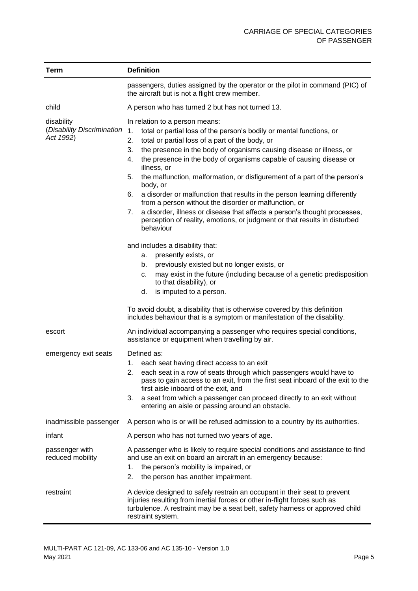| Term                               | <b>Definition</b>                                                                                                                                                                                                                                           |  |  |
|------------------------------------|-------------------------------------------------------------------------------------------------------------------------------------------------------------------------------------------------------------------------------------------------------------|--|--|
|                                    | passengers, duties assigned by the operator or the pilot in command (PIC) of<br>the aircraft but is not a flight crew member.                                                                                                                               |  |  |
| child                              | A person who has turned 2 but has not turned 13.                                                                                                                                                                                                            |  |  |
| disability                         | In relation to a person means:                                                                                                                                                                                                                              |  |  |
| (Disability Discrimination         | total or partial loss of the person's bodily or mental functions, or<br>1.                                                                                                                                                                                  |  |  |
| Act 1992)                          | 2.<br>total or partial loss of a part of the body, or                                                                                                                                                                                                       |  |  |
|                                    | 3.<br>the presence in the body of organisms causing disease or illness, or                                                                                                                                                                                  |  |  |
|                                    | the presence in the body of organisms capable of causing disease or<br>4.<br>illness, or                                                                                                                                                                    |  |  |
|                                    | the malfunction, malformation, or disfigurement of a part of the person's<br>5.<br>body, or                                                                                                                                                                 |  |  |
|                                    | a disorder or malfunction that results in the person learning differently<br>6.<br>from a person without the disorder or malfunction, or                                                                                                                    |  |  |
|                                    | a disorder, illness or disease that affects a person's thought processes,<br>7.<br>perception of reality, emotions, or judgment or that results in disturbed<br>behaviour                                                                                   |  |  |
|                                    | and includes a disability that:                                                                                                                                                                                                                             |  |  |
|                                    | presently exists, or<br>а.                                                                                                                                                                                                                                  |  |  |
|                                    | previously existed but no longer exists, or<br>b.                                                                                                                                                                                                           |  |  |
|                                    | may exist in the future (including because of a genetic predisposition<br>c.                                                                                                                                                                                |  |  |
|                                    | to that disability), or                                                                                                                                                                                                                                     |  |  |
|                                    | is imputed to a person.<br>d.                                                                                                                                                                                                                               |  |  |
|                                    | To avoid doubt, a disability that is otherwise covered by this definition<br>includes behaviour that is a symptom or manifestation of the disability.                                                                                                       |  |  |
| escort                             | An individual accompanying a passenger who requires special conditions,<br>assistance or equipment when travelling by air.                                                                                                                                  |  |  |
| emergency exit seats               | Defined as:                                                                                                                                                                                                                                                 |  |  |
|                                    | each seat having direct access to an exit<br>1.                                                                                                                                                                                                             |  |  |
|                                    | 2.<br>each seat in a row of seats through which passengers would have to<br>pass to gain access to an exit, from the first seat inboard of the exit to the<br>first aisle inboard of the exit, and                                                          |  |  |
|                                    | a seat from which a passenger can proceed directly to an exit without<br>3.<br>entering an aisle or passing around an obstacle.                                                                                                                             |  |  |
| inadmissible passenger             | A person who is or will be refused admission to a country by its authorities.                                                                                                                                                                               |  |  |
| infant                             | A person who has not turned two years of age.                                                                                                                                                                                                               |  |  |
| passenger with<br>reduced mobility | A passenger who is likely to require special conditions and assistance to find<br>and use an exit on board an aircraft in an emergency because:<br>the person's mobility is impaired, or<br>1.<br>the person has another impairment.<br>2.                  |  |  |
| restraint                          | A device designed to safely restrain an occupant in their seat to prevent<br>injuries resulting from inertial forces or other in-flight forces such as<br>turbulence. A restraint may be a seat belt, safety harness or approved child<br>restraint system. |  |  |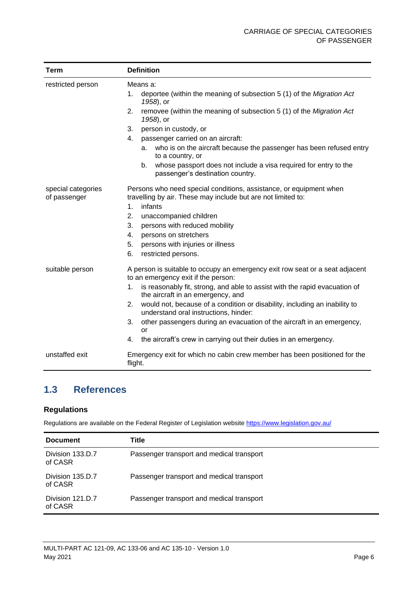| <b>Term</b>                        | <b>Definition</b>                                                                                                                  |  |  |
|------------------------------------|------------------------------------------------------------------------------------------------------------------------------------|--|--|
| restricted person                  | Means a:                                                                                                                           |  |  |
|                                    | deportee (within the meaning of subsection 5 (1) of the Migration Act<br>1.<br>1958), or                                           |  |  |
|                                    | removee (within the meaning of subsection 5 (1) of the Migration Act<br>2.<br>1958), or                                            |  |  |
|                                    | person in custody, or<br>3.                                                                                                        |  |  |
|                                    | passenger carried on an aircraft:<br>4.                                                                                            |  |  |
|                                    | who is on the aircraft because the passenger has been refused entry<br>a.<br>to a country, or                                      |  |  |
|                                    | whose passport does not include a visa required for entry to the<br>b.<br>passenger's destination country.                         |  |  |
| special categories<br>of passenger | Persons who need special conditions, assistance, or equipment when<br>travelling by air. These may include but are not limited to: |  |  |
|                                    | infants<br>1 <sub>1</sub>                                                                                                          |  |  |
|                                    | 2.<br>unaccompanied children                                                                                                       |  |  |
|                                    | 3.<br>persons with reduced mobility                                                                                                |  |  |
|                                    | 4.<br>persons on stretchers                                                                                                        |  |  |
|                                    | 5.<br>persons with injuries or illness                                                                                             |  |  |
|                                    | 6.<br>restricted persons.                                                                                                          |  |  |
| suitable person                    | A person is suitable to occupy an emergency exit row seat or a seat adjacent<br>to an emergency exit if the person:                |  |  |
|                                    | is reasonably fit, strong, and able to assist with the rapid evacuation of<br>1.<br>the aircraft in an emergency, and              |  |  |
|                                    | 2.<br>would not, because of a condition or disability, including an inability to<br>understand oral instructions, hinder:          |  |  |
|                                    | 3.<br>other passengers during an evacuation of the aircraft in an emergency,<br>or                                                 |  |  |
|                                    | the aircraft's crew in carrying out their duties in an emergency.<br>4.                                                            |  |  |
| unstaffed exit                     | Emergency exit for which no cabin crew member has been positioned for the<br>flight.                                               |  |  |

### <span id="page-6-0"></span>**1.3 References**

#### **Regulations**

Regulations are available on the Federal Register of Legislation website<https://www.legislation.gov.au/>

| <b>Document</b>             | Title                                     |
|-----------------------------|-------------------------------------------|
| Division 133.D.7<br>of CASR | Passenger transport and medical transport |
| Division 135.D.7<br>of CASR | Passenger transport and medical transport |
| Division 121.D.7<br>of CASR | Passenger transport and medical transport |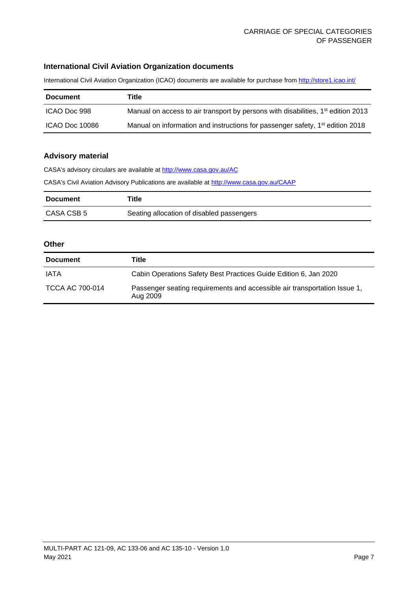#### **International Civil Aviation Organization documents**

International Civil Aviation Organization (ICAO) documents are available for purchase fro[m http://store1.icao.int/](http://store1.icao.int/)

| <b>Document</b> | Title                                                                                     |
|-----------------|-------------------------------------------------------------------------------------------|
| ICAO Doc 998    | Manual on access to air transport by persons with disabilities, $1st$ edition 2013        |
| ICAO Doc 10086  | Manual on information and instructions for passenger safety, 1 <sup>st</sup> edition 2018 |

#### **Advisory material**

CASA's advisory circulars are available at [http://www.casa.gov.au/AC](http://www.casa.gov.au/ACs) CASA's Civil Aviation Advisory Publications are available at [http://www.casa.gov.au/CAAP](http://www.casa.gov.au/CAAPs)

| <b>Document</b> | ⊤itle                                     |
|-----------------|-------------------------------------------|
| CASA CSB 5      | Seating allocation of disabled passengers |

#### **Other**

| <b>Document</b>        | Title                                                                                 |
|------------------------|---------------------------------------------------------------------------------------|
| IATA                   | Cabin Operations Safety Best Practices Guide Edition 6, Jan 2020                      |
| <b>TCCA AC 700-014</b> | Passenger seating requirements and accessible air transportation Issue 1,<br>Aug 2009 |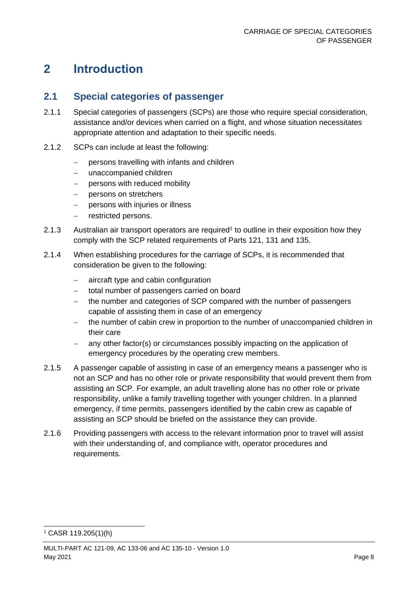### <span id="page-8-0"></span>**2 Introduction**

#### <span id="page-8-1"></span>**2.1 Special categories of passenger**

- 2.1.1 Special categories of passengers (SCPs) are those who require special consideration, assistance and/or devices when carried on a flight, and whose situation necessitates appropriate attention and adaptation to their specific needs.
- 2.1.2 SCPs can include at least the following:
	- − persons travelling with infants and children
	- − unaccompanied children
	- − persons with reduced mobility
	- − persons on stretchers
	- − persons with injuries or illness
	- − restricted persons.
- 2.1.3 Australian air transport operators are required<sup>1</sup> to outline in their exposition how they comply with the SCP related requirements of Parts 121, 131 and 135.
- 2.1.4 When establishing procedures for the carriage of SCPs, it is recommended that consideration be given to the following:
	- − aircraft type and cabin configuration
	- − total number of passengers carried on board
	- − the number and categories of SCP compared with the number of passengers capable of assisting them in case of an emergency
	- the number of cabin crew in proportion to the number of unaccompanied children in their care
	- any other factor(s) or circumstances possibly impacting on the application of emergency procedures by the operating crew members.
- 2.1.5 A passenger capable of assisting in case of an emergency means a passenger who is not an SCP and has no other role or private responsibility that would prevent them from assisting an SCP. For example, an adult travelling alone has no other role or private responsibility, unlike a family travelling together with younger children. In a planned emergency, if time permits, passengers identified by the cabin crew as capable of assisting an SCP should be briefed on the assistance they can provide.
- 2.1.6 Providing passengers with access to the relevant information prior to travel will assist with their understanding of, and compliance with, operator procedures and requirements.

<sup>1</sup> CASR 119.205(1)(h)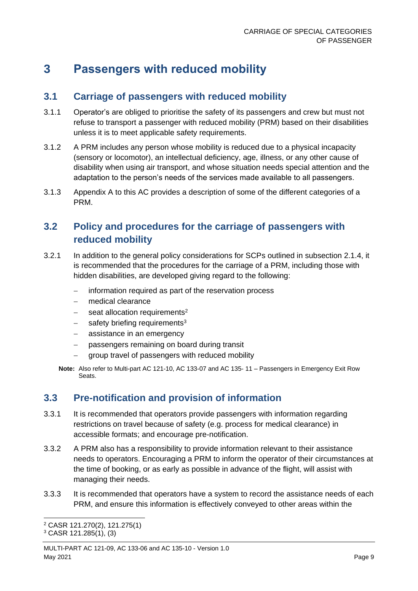### <span id="page-9-0"></span>**3 Passengers with reduced mobility**

#### <span id="page-9-1"></span>**3.1 Carriage of passengers with reduced mobility**

- 3.1.1 Operator's are obliged to prioritise the safety of its passengers and crew but must not refuse to transport a passenger with reduced mobility (PRM) based on their disabilities unless it is to meet applicable safety requirements.
- 3.1.2 A PRM includes any person whose mobility is reduced due to a physical incapacity (sensory or locomotor), an intellectual deficiency, age, illness, or any other cause of disability when using air transport, and whose situation needs special attention and the adaptation to the person's needs of the services made available to all passengers.
- 3.1.3 Appendix A to this AC provides a description of some of the different categories of a PRM.

### <span id="page-9-2"></span>**3.2 Policy and procedures for the carriage of passengers with reduced mobility**

- 3.2.1 In addition to the general policy considerations for SCPs outlined in subsection 2.1.4, it is recommended that the procedures for the carriage of a PRM, including those with hidden disabilities, are developed giving regard to the following:
	- information required as part of the reservation process
	- − medical clearance
	- − seat allocation requirements<sup>2</sup>
	- safety briefing requirements<sup>3</sup>
	- − assistance in an emergency
	- − passengers remaining on board during transit
	- group travel of passengers with reduced mobility
	- **Note:** Also refer to Multi-part AC 121-10, AC 133-07 and AC 135- 11 Passengers in Emergency Exit Row Seats.

### <span id="page-9-3"></span>**3.3 Pre-notification and provision of information**

- 3.3.1 It is recommended that operators provide passengers with information regarding restrictions on travel because of safety (e.g. process for medical clearance) in accessible formats; and encourage pre-notification.
- 3.3.2 A PRM also has a responsibility to provide information relevant to their assistance needs to operators. Encouraging a PRM to inform the operator of their circumstances at the time of booking, or as early as possible in advance of the flight, will assist with managing their needs.
- 3.3.3 It is recommended that operators have a system to record the assistance needs of each PRM, and ensure this information is effectively conveyed to other areas within the

<sup>2</sup> CASR 121.270(2), 121.275(1) <sup>3</sup> CASR 121.285(1), (3)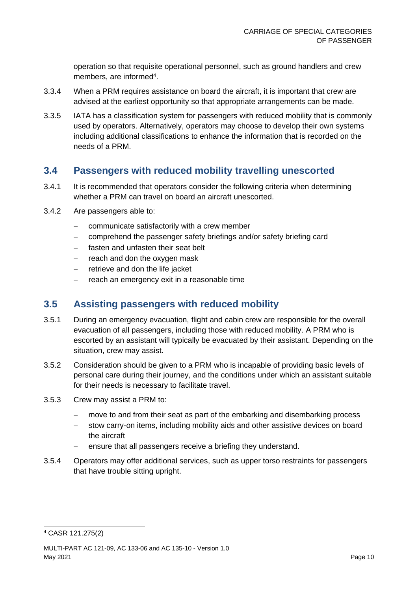operation so that requisite operational personnel, such as ground handlers and crew members, are informed<sup>4</sup>.

- 3.3.4 When a PRM requires assistance on board the aircraft, it is important that crew are advised at the earliest opportunity so that appropriate arrangements can be made.
- 3.3.5 IATA has a classification system for passengers with reduced mobility that is commonly used by operators. Alternatively, operators may choose to develop their own systems including additional classifications to enhance the information that is recorded on the needs of a PRM.

#### <span id="page-10-0"></span>**3.4 Passengers with reduced mobility travelling unescorted**

- 3.4.1 It is recommended that operators consider the following criteria when determining whether a PRM can travel on board an aircraft unescorted.
- 3.4.2 Are passengers able to:
	- − communicate satisfactorily with a crew member
	- − comprehend the passenger safety briefings and/or safety briefing card
	- − fasten and unfasten their seat belt
	- − reach and don the oxygen mask
	- − retrieve and don the life jacket
	- reach an emergency exit in a reasonable time

#### <span id="page-10-1"></span>**3.5 Assisting passengers with reduced mobility**

- 3.5.1 During an emergency evacuation, flight and cabin crew are responsible for the overall evacuation of all passengers, including those with reduced mobility. A PRM who is escorted by an assistant will typically be evacuated by their assistant. Depending on the situation, crew may assist.
- 3.5.2 Consideration should be given to a PRM who is incapable of providing basic levels of personal care during their journey, and the conditions under which an assistant suitable for their needs is necessary to facilitate travel.
- 3.5.3 Crew may assist a PRM to:
	- move to and from their seat as part of the embarking and disembarking process
	- stow carry-on items, including mobility aids and other assistive devices on board the aircraft
	- − ensure that all passengers receive a briefing they understand.
- 3.5.4 Operators may offer additional services, such as upper torso restraints for passengers that have trouble sitting upright.

<sup>4</sup> CASR 121.275(2)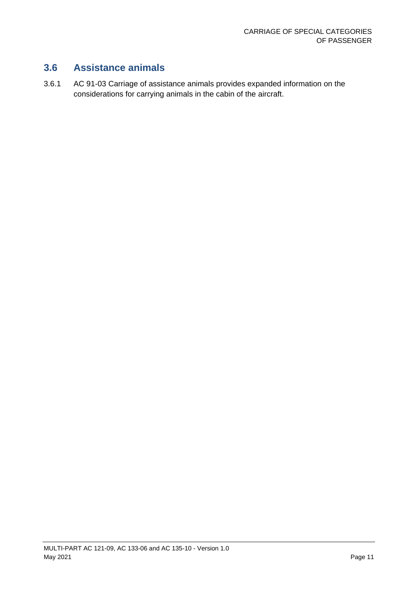### <span id="page-11-0"></span>**3.6 Assistance animals**

3.6.1 AC 91-03 Carriage of assistance animals provides expanded information on the considerations for carrying animals in the cabin of the aircraft.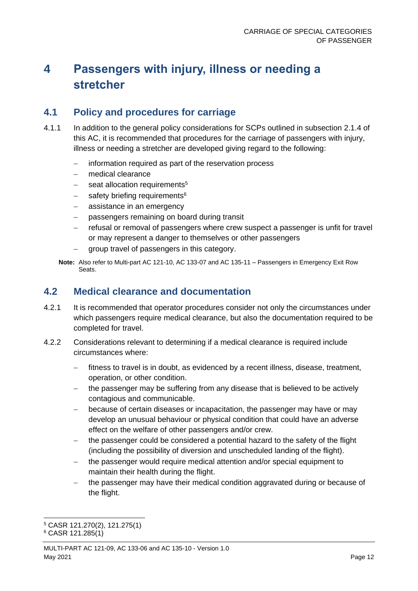## <span id="page-12-0"></span>**4 Passengers with injury, illness or needing a stretcher**

### <span id="page-12-1"></span>**4.1 Policy and procedures for carriage**

- 4.1.1 In addition to the general policy considerations for SCPs outlined in subsection 2.1.4 of this AC, it is recommended that procedures for the carriage of passengers with injury, illness or needing a stretcher are developed giving regard to the following:
	- − information required as part of the reservation process
	- − medical clearance
	- seat allocation requirements<sup>5</sup>
	- safety briefing requirements<sup>6</sup>
	- − assistance in an emergency
	- passengers remaining on board during transit
	- − refusal or removal of passengers where crew suspect a passenger is unfit for travel or may represent a danger to themselves or other passengers
	- − group travel of passengers in this category.

**Note:** Also refer to Multi-part AC 121-10, AC 133-07 and AC 135-11 – Passengers in Emergency Exit Row Seats.

#### <span id="page-12-2"></span>**4.2 Medical clearance and documentation**

- 4.2.1 It is recommended that operator procedures consider not only the circumstances under which passengers require medical clearance, but also the documentation required to be completed for travel.
- 4.2.2 Considerations relevant to determining if a medical clearance is required include circumstances where:
	- − fitness to travel is in doubt, as evidenced by a recent illness, disease, treatment, operation, or other condition.
	- − the passenger may be suffering from any disease that is believed to be actively contagious and communicable.
	- because of certain diseases or incapacitation, the passenger may have or may develop an unusual behaviour or physical condition that could have an adverse effect on the welfare of other passengers and/or crew.
	- the passenger could be considered a potential hazard to the safety of the flight (including the possibility of diversion and unscheduled landing of the flight).
	- the passenger would require medical attention and/or special equipment to maintain their health during the flight.
	- − the passenger may have their medical condition aggravated during or because of the flight.

<sup>5</sup> CASR 121.270(2), 121.275(1)

<sup>6</sup> CASR 121.285(1)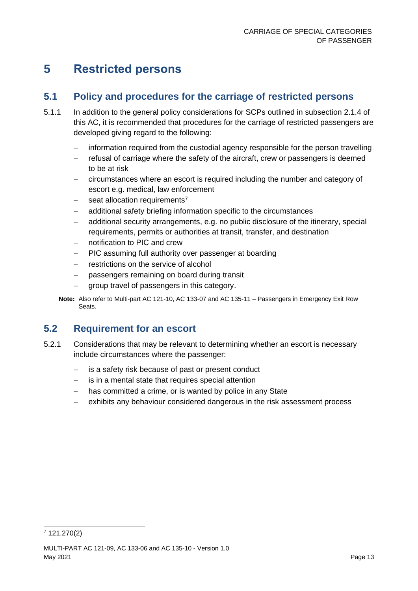## <span id="page-13-0"></span>**5 Restricted persons**

#### <span id="page-13-1"></span>**5.1 Policy and procedures for the carriage of restricted persons**

- 5.1.1 In addition to the general policy considerations for SCPs outlined in subsection 2.1.4 of this AC, it is recommended that procedures for the carriage of restricted passengers are developed giving regard to the following:
	- − information required from the custodial agency responsible for the person travelling
	- − refusal of carriage where the safety of the aircraft, crew or passengers is deemed to be at risk
	- − circumstances where an escort is required including the number and category of escort e.g. medical, law enforcement
	- seat allocation requirements<sup>7</sup>
	- additional safety briefing information specific to the circumstances
	- − additional security arrangements, e.g. no public disclosure of the itinerary, special requirements, permits or authorities at transit, transfer, and destination
	- notification to PIC and crew
	- − PIC assuming full authority over passenger at boarding
	- restrictions on the service of alcohol
	- − passengers remaining on board during transit
	- group travel of passengers in this category.

**Note:** Also refer to Multi-part AC 121-10, AC 133-07 and AC 135-11 – Passengers in Emergency Exit Row Seats.

### <span id="page-13-2"></span>**5.2 Requirement for an escort**

- 5.2.1 Considerations that may be relevant to determining whether an escort is necessary include circumstances where the passenger:
	- is a safety risk because of past or present conduct
	- − is in a mental state that requires special attention
	- − has committed a crime, or is wanted by police in any State
	- exhibits any behaviour considered dangerous in the risk assessment process

<sup>7</sup> 121.270(2)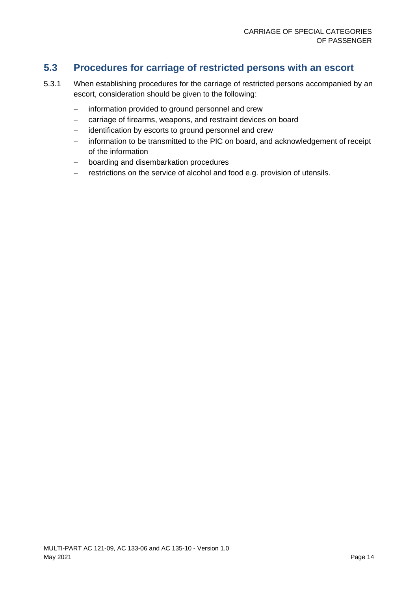### <span id="page-14-0"></span>**5.3 Procedures for carriage of restricted persons with an escort**

- 5.3.1 When establishing procedures for the carriage of restricted persons accompanied by an escort, consideration should be given to the following:
	- − information provided to ground personnel and crew
	- − carriage of firearms, weapons, and restraint devices on board
	- − identification by escorts to ground personnel and crew
	- − information to be transmitted to the PIC on board, and acknowledgement of receipt of the information
	- − boarding and disembarkation procedures
	- restrictions on the service of alcohol and food e.g. provision of utensils.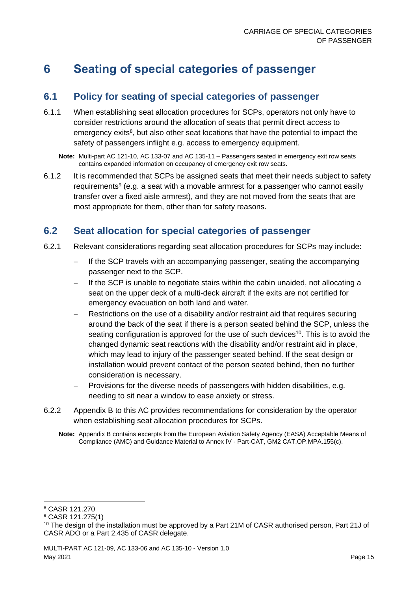### <span id="page-15-0"></span>**6 Seating of special categories of passenger**

#### <span id="page-15-1"></span>**6.1 Policy for seating of special categories of passenger**

6.1.1 When establishing seat allocation procedures for SCPs, operators not only have to consider restrictions around the allocation of seats that permit direct access to emergency exits<sup>8</sup>, but also other seat locations that have the potential to impact the safety of passengers inflight e.g. access to emergency equipment.

**Note:** Multi-part AC 121-10, AC 133-07 and AC 135-11 – Passengers seated in emergency exit row seats contains expanded information on occupancy of emergency exit row seats.

6.1.2 It is recommended that SCPs be assigned seats that meet their needs subject to safety requirements<sup>9</sup> (e.g. a seat with a movable armrest for a passenger who cannot easily transfer over a fixed aisle armrest), and they are not moved from the seats that are most appropriate for them, other than for safety reasons.

### <span id="page-15-2"></span>**6.2 Seat allocation for special categories of passenger**

- 6.2.1 Relevant considerations regarding seat allocation procedures for SCPs may include:
	- − If the SCP travels with an accompanying passenger, seating the accompanying passenger next to the SCP.
	- If the SCP is unable to negotiate stairs within the cabin unaided, not allocating a seat on the upper deck of a multi-deck aircraft if the exits are not certified for emergency evacuation on both land and water.
	- − Restrictions on the use of a disability and/or restraint aid that requires securing around the back of the seat if there is a person seated behind the SCP, unless the seating configuration is approved for the use of such devices<sup>10</sup>. This is to avoid the changed dynamic seat reactions with the disability and/or restraint aid in place, which may lead to injury of the passenger seated behind. If the seat design or installation would prevent contact of the person seated behind, then no further consideration is necessary.
	- − Provisions for the diverse needs of passengers with hidden disabilities, e.g. needing to sit near a window to ease anxiety or stress.
- 6.2.2 Appendix B to this AC provides recommendations for consideration by the operator when establishing seat allocation procedures for SCPs.
	- **Note:** Appendix B contains excerpts from the European Aviation Safety Agency (EASA) Acceptable Means of Compliance (AMC) and Guidance Material to Annex IV - Part-CAT, GM2 CAT.OP.MPA.155(c).

<sup>8</sup> CASR 121.270

<sup>9</sup> CASR 121.275(1)

<sup>&</sup>lt;sup>10</sup> The design of the installation must be approved by a Part 21M of CASR authorised person, Part 21J of CASR ADO or a Part 2.435 of CASR delegate.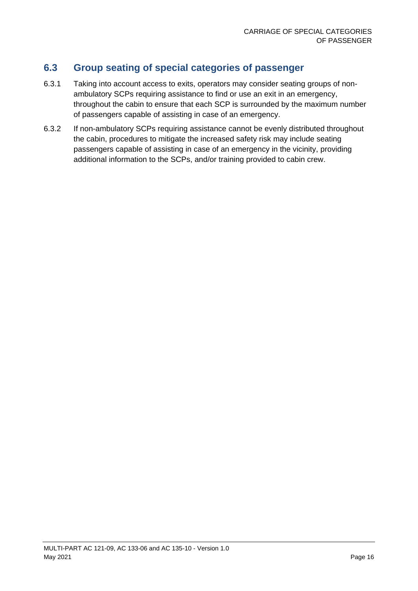### <span id="page-16-0"></span>**6.3 Group seating of special categories of passenger**

- 6.3.1 Taking into account access to exits, operators may consider seating groups of nonambulatory SCPs requiring assistance to find or use an exit in an emergency, throughout the cabin to ensure that each SCP is surrounded by the maximum number of passengers capable of assisting in case of an emergency.
- 6.3.2 If non-ambulatory SCPs requiring assistance cannot be evenly distributed throughout the cabin, procedures to mitigate the increased safety risk may include seating passengers capable of assisting in case of an emergency in the vicinity, providing additional information to the SCPs, and/or training provided to cabin crew.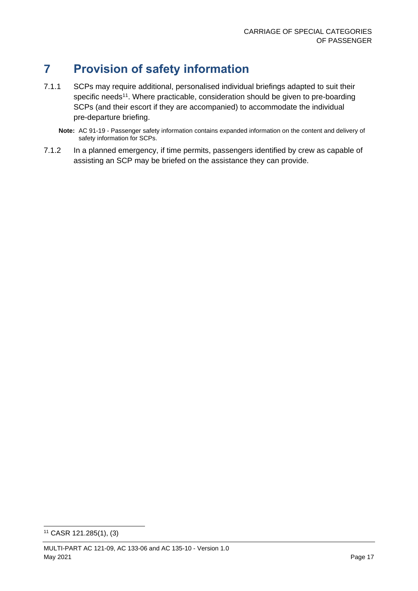## <span id="page-17-0"></span>**7 Provision of safety information**

- 7.1.1 SCPs may require additional, personalised individual briefings adapted to suit their specific needs<sup>11</sup>. Where practicable, consideration should be given to pre-boarding SCPs (and their escort if they are accompanied) to accommodate the individual pre-departure briefing.
	- **Note:** AC 91-19 Passenger safety information contains expanded information on the content and delivery of safety information for SCPs.
- 7.1.2 In a planned emergency, if time permits, passengers identified by crew as capable of assisting an SCP may be briefed on the assistance they can provide.

<sup>11</sup> CASR 121.285(1), (3)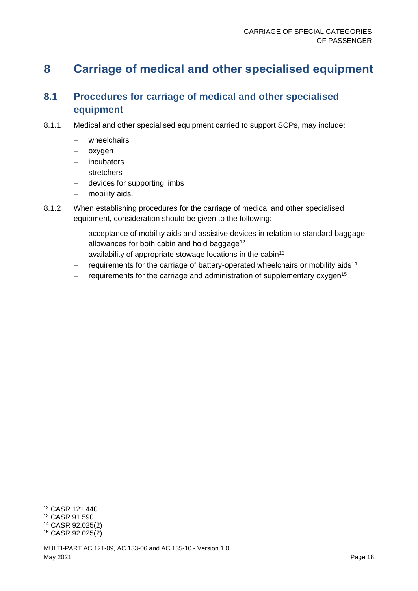### <span id="page-18-0"></span>**8 Carriage of medical and other specialised equipment**

### <span id="page-18-1"></span>**8.1 Procedures for carriage of medical and other specialised equipment**

- 8.1.1 Medical and other specialised equipment carried to support SCPs, may include:
	- − wheelchairs
	- − oxygen
	- − incubators
	- − stretchers
	- − devices for supporting limbs
	- − mobility aids.
- 8.1.2 When establishing procedures for the carriage of medical and other specialised equipment, consideration should be given to the following:
	- − acceptance of mobility aids and assistive devices in relation to standard baggage allowances for both cabin and hold baggage<sup>12</sup>
	- − availability of appropriate stowage locations in the cabin<sup>13</sup>
	- − requirements for the carriage of battery-operated wheelchairs or mobility aids<sup>14</sup>
	- requirements for the carriage and administration of supplementary oxygen<sup>15</sup>

<sup>12</sup> CASR 121.440

<sup>13</sup> CASR 91.590

<sup>14</sup> CASR 92.025(2)

<sup>15</sup> CASR 92.025(2)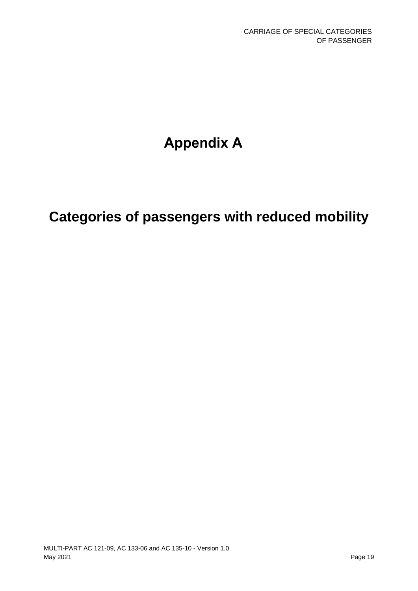# **Appendix A**

# **Categories of passengers with reduced mobility**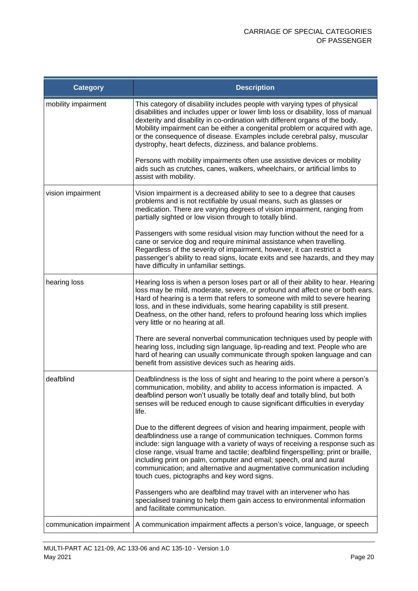| <b>Category</b>          | <b>Description</b>                                                                                                                                                                                                                                                                                                                                                                                                                                                                                                        |
|--------------------------|---------------------------------------------------------------------------------------------------------------------------------------------------------------------------------------------------------------------------------------------------------------------------------------------------------------------------------------------------------------------------------------------------------------------------------------------------------------------------------------------------------------------------|
| mobility impairment      | This category of disability includes people with varying types of physical<br>disabilities and includes upper or lower limb loss or disability, loss of manual<br>dexterity and disability in co-ordination with different organs of the body.<br>Mobility impairment can be either a congenital problem or acquired with age,<br>or the consequence of disease. Examples include cerebral palsy, muscular<br>dystrophy, heart defects, dizziness, and balance problems.                                                  |
|                          | Persons with mobility impairments often use assistive devices or mobility<br>aids such as crutches, canes, walkers, wheelchairs, or artificial limbs to<br>assist with mobility.                                                                                                                                                                                                                                                                                                                                          |
| vision impairment        | Vision impairment is a decreased ability to see to a degree that causes<br>problems and is not rectifiable by usual means, such as glasses or<br>medication. There are varying degrees of vision impairment, ranging from<br>partially sighted or low vision through to totally blind.                                                                                                                                                                                                                                    |
|                          | Passengers with some residual vision may function without the need for a<br>cane or service dog and require minimal assistance when travelling.<br>Regardless of the severity of impairment, however, it can restrict a<br>passenger's ability to read signs, locate exits and see hazards, and they may<br>have difficulty in unfamiliar settings.                                                                                                                                                                       |
| hearing loss             | Hearing loss is when a person loses part or all of their ability to hear. Hearing<br>loss may be mild, moderate, severe, or profound and affect one or both ears.<br>Hard of hearing is a term that refers to someone with mild to severe hearing<br>loss, and in these individuals, some hearing capability is still present.<br>Deafness, on the other hand, refers to profound hearing loss which implies<br>very little or no hearing at all.                                                                         |
|                          | There are several nonverbal communication techniques used by people with<br>hearing loss, including sign language, lip-reading and text. People who are<br>hard of hearing can usually communicate through spoken language and can<br>benefit from assistive devices such as hearing aids.                                                                                                                                                                                                                                |
| deafblind                | Deafblindness is the loss of sight and hearing to the point where a person's<br>communication, mobility, and ability to access information is impacted. A<br>deafblind person won't usually be totally deaf and totally blind, but both<br>senses will be reduced enough to cause significant difficulties in everyday<br>life.                                                                                                                                                                                           |
|                          | Due to the different degrees of vision and hearing impairment, people with<br>deafblindness use a range of communication techniques. Common forms<br>include: sign language with a variety of ways of receiving a response such as<br>close range, visual frame and tactile; deafblind fingerspelling; print or braille,<br>including print on palm, computer and email; speech, oral and aural<br>communication; and alternative and augmentative communication including<br>touch cues, pictographs and key word signs. |
|                          | Passengers who are deafblind may travel with an intervener who has<br>specialised training to help them gain access to environmental information<br>and facilitate communication.                                                                                                                                                                                                                                                                                                                                         |
| communication impairment | A communication impairment affects a person's voice, language, or speech                                                                                                                                                                                                                                                                                                                                                                                                                                                  |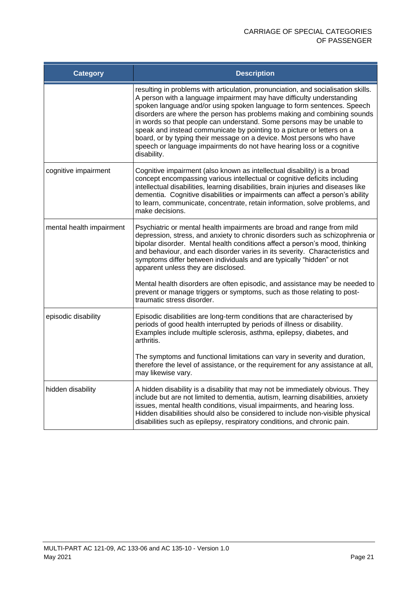| <b>Category</b>          | <b>Description</b>                                                                                                                                                                                                                                                                                                                                                                                                                                                                                                                                                                                                                  |
|--------------------------|-------------------------------------------------------------------------------------------------------------------------------------------------------------------------------------------------------------------------------------------------------------------------------------------------------------------------------------------------------------------------------------------------------------------------------------------------------------------------------------------------------------------------------------------------------------------------------------------------------------------------------------|
|                          | resulting in problems with articulation, pronunciation, and socialisation skills.<br>A person with a language impairment may have difficulty understanding<br>spoken language and/or using spoken language to form sentences. Speech<br>disorders are where the person has problems making and combining sounds<br>in words so that people can understand. Some persons may be unable to<br>speak and instead communicate by pointing to a picture or letters on a<br>board, or by typing their message on a device. Most persons who have<br>speech or language impairments do not have hearing loss or a cognitive<br>disability. |
| cognitive impairment     | Cognitive impairment (also known as intellectual disability) is a broad<br>concept encompassing various intellectual or cognitive deficits including<br>intellectual disabilities, learning disabilities, brain injuries and diseases like<br>dementia. Cognitive disabilities or impairments can affect a person's ability<br>to learn, communicate, concentrate, retain information, solve problems, and<br>make decisions.                                                                                                                                                                                                       |
| mental health impairment | Psychiatric or mental health impairments are broad and range from mild<br>depression, stress, and anxiety to chronic disorders such as schizophrenia or<br>bipolar disorder. Mental health conditions affect a person's mood, thinking<br>and behaviour, and each disorder varies in its severity. Characteristics and<br>symptoms differ between individuals and are typically "hidden" or not<br>apparent unless they are disclosed.                                                                                                                                                                                              |
|                          | Mental health disorders are often episodic, and assistance may be needed to<br>prevent or manage triggers or symptoms, such as those relating to post-<br>traumatic stress disorder.                                                                                                                                                                                                                                                                                                                                                                                                                                                |
| episodic disability      | Episodic disabilities are long-term conditions that are characterised by<br>periods of good health interrupted by periods of illness or disability.<br>Examples include multiple sclerosis, asthma, epilepsy, diabetes, and<br>arthritis.                                                                                                                                                                                                                                                                                                                                                                                           |
|                          | The symptoms and functional limitations can vary in severity and duration,<br>therefore the level of assistance, or the requirement for any assistance at all,<br>may likewise vary.                                                                                                                                                                                                                                                                                                                                                                                                                                                |
| hidden disability        | A hidden disability is a disability that may not be immediately obvious. They<br>include but are not limited to dementia, autism, learning disabilities, anxiety<br>issues, mental health conditions, visual impairments, and hearing loss.<br>Hidden disabilities should also be considered to include non-visible physical<br>disabilities such as epilepsy, respiratory conditions, and chronic pain.                                                                                                                                                                                                                            |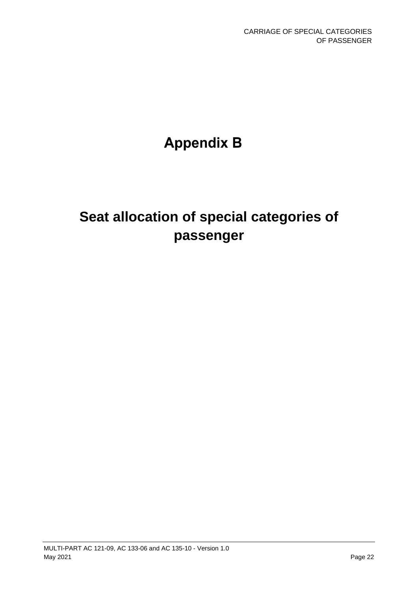# **Appendix B**

# **Seat allocation of special categories of passenger**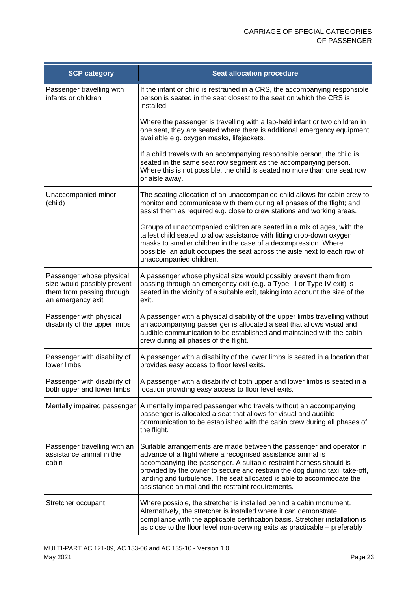| <b>SCP category</b>                                                                                       | <b>Seat allocation procedure</b>                                                                                                                                                                                                                                                                                                                                                                                       |
|-----------------------------------------------------------------------------------------------------------|------------------------------------------------------------------------------------------------------------------------------------------------------------------------------------------------------------------------------------------------------------------------------------------------------------------------------------------------------------------------------------------------------------------------|
| Passenger travelling with<br>infants or children                                                          | If the infant or child is restrained in a CRS, the accompanying responsible<br>person is seated in the seat closest to the seat on which the CRS is<br>installed.                                                                                                                                                                                                                                                      |
|                                                                                                           | Where the passenger is travelling with a lap-held infant or two children in<br>one seat, they are seated where there is additional emergency equipment<br>available e.g. oxygen masks, lifejackets.                                                                                                                                                                                                                    |
|                                                                                                           | If a child travels with an accompanying responsible person, the child is<br>seated in the same seat row segment as the accompanying person.<br>Where this is not possible, the child is seated no more than one seat row<br>or aisle away.                                                                                                                                                                             |
| Unaccompanied minor<br>(child)                                                                            | The seating allocation of an unaccompanied child allows for cabin crew to<br>monitor and communicate with them during all phases of the flight; and<br>assist them as required e.g. close to crew stations and working areas.                                                                                                                                                                                          |
|                                                                                                           | Groups of unaccompanied children are seated in a mix of ages, with the<br>tallest child seated to allow assistance with fitting drop-down oxygen<br>masks to smaller children in the case of a decompression. Where<br>possible, an adult occupies the seat across the aisle next to each row of<br>unaccompanied children.                                                                                            |
| Passenger whose physical<br>size would possibly prevent<br>them from passing through<br>an emergency exit | A passenger whose physical size would possibly prevent them from<br>passing through an emergency exit (e.g. a Type III or Type IV exit) is<br>seated in the vicinity of a suitable exit, taking into account the size of the<br>exit.                                                                                                                                                                                  |
| Passenger with physical<br>disability of the upper limbs                                                  | A passenger with a physical disability of the upper limbs travelling without<br>an accompanying passenger is allocated a seat that allows visual and<br>audible communication to be established and maintained with the cabin<br>crew during all phases of the flight.                                                                                                                                                 |
| Passenger with disability of<br>lower limbs                                                               | A passenger with a disability of the lower limbs is seated in a location that<br>provides easy access to floor level exits.                                                                                                                                                                                                                                                                                            |
| Passenger with disability of<br>both upper and lower limbs                                                | A passenger with a disability of both upper and lower limbs is seated in a<br>location providing easy access to floor level exits.                                                                                                                                                                                                                                                                                     |
| Mentally impaired passenger                                                                               | A mentally impaired passenger who travels without an accompanying<br>passenger is allocated a seat that allows for visual and audible<br>communication to be established with the cabin crew during all phases of<br>the flight.                                                                                                                                                                                       |
| Passenger travelling with an<br>assistance animal in the<br>cabin                                         | Suitable arrangements are made between the passenger and operator in<br>advance of a flight where a recognised assistance animal is<br>accompanying the passenger. A suitable restraint harness should is<br>provided by the owner to secure and restrain the dog during taxi, take-off,<br>landing and turbulence. The seat allocated is able to accommodate the<br>assistance animal and the restraint requirements. |
| Stretcher occupant                                                                                        | Where possible, the stretcher is installed behind a cabin monument.<br>Alternatively, the stretcher is installed where it can demonstrate<br>compliance with the applicable certification basis. Stretcher installation is<br>as close to the floor level non-overwing exits as practicable - preferably                                                                                                               |